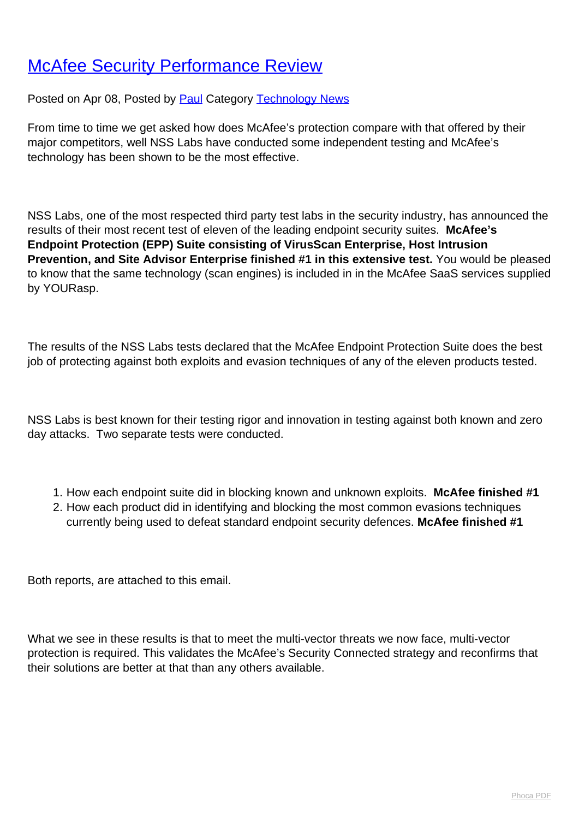## **[McAfee Security Performance Review](http://www.computerdoctor.com.au/news/mcafee-security-performance-review)**

Posted on Apr 08, Posted by **Paul Category [Technology News](http://www.computerdoctor.com.au/news/categories/technology-news)** 

From time to time we get asked how does McAfee's protection compare with that offered by their major competitors, well NSS Labs have conducted some independent testing and McAfee's technology has been shown to be the most effective.

NSS Labs, one of the most respected third party test labs in the security industry, has announced the results of their most recent test of eleven of the leading endpoint security suites. **McAfee's Endpoint Protection (EPP) Suite consisting of VirusScan Enterprise, Host Intrusion Prevention, and Site Advisor Enterprise finished #1 in this extensive test.** You would be pleased to know that the same technology (scan engines) is included in in the McAfee SaaS services supplied by YOURasp.

The results of the NSS Labs tests declared that the McAfee Endpoint Protection Suite does the best job of protecting against both exploits and evasion techniques of any of the eleven products tested.

NSS Labs is best known for their testing rigor and innovation in testing against both known and zero day attacks. Two separate tests were conducted.

- 1. How each endpoint suite did in blocking known and unknown exploits. **McAfee finished #1**
- 2. How each product did in identifying and blocking the most common evasions techniques currently being used to defeat standard endpoint security defences. **McAfee finished #1**

Both reports, are attached to this email.

What we see in these results is that to meet the multi-vector threats we now face, multi-vector protection is required. This validates the McAfee's Security Connected strategy and reconfirms that their solutions are better at that than any others available.